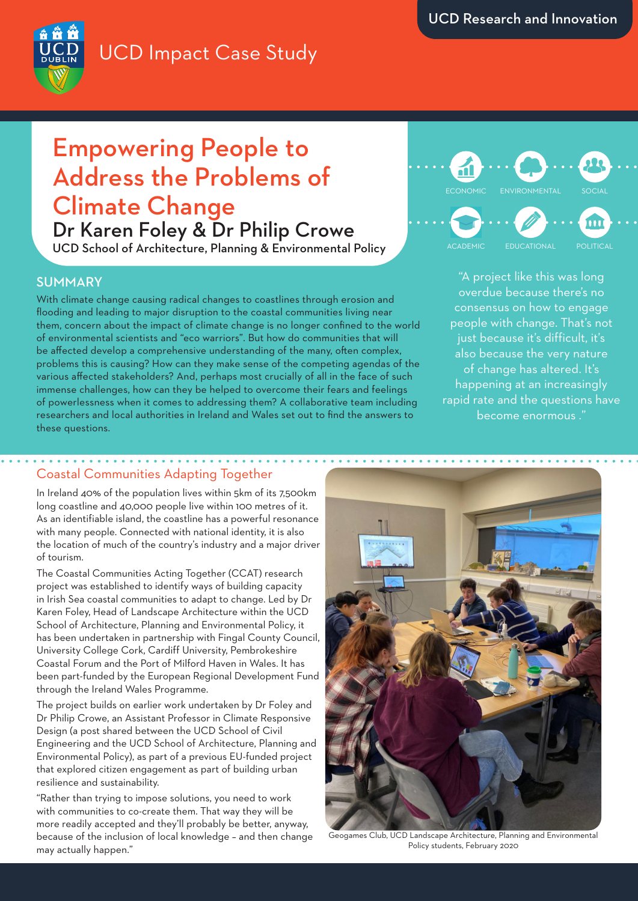## UCD Impact Case Study



# Empowering People to Address the Problems of Climate Change

Dr Karen Foley & Dr Philip Crowe UCD School of Architecture, Planning & Environmental Policy

## SUMMARY

With climate change causing radical changes to coastlines through erosion and flooding and leading to major disruption to the coastal communities living near them, concern about the impact of climate change is no longer confined to the world of environmental scientists and "eco warriors". But how do communities that will be affected develop a comprehensive understanding of the many, often complex, problems this is causing? How can they make sense of the competing agendas of the various affected stakeholders? And, perhaps most crucially of all in the face of such immense challenges, how can they be helped to overcome their fears and feelings of powerlessness when it comes to addressing them? A collaborative team including researchers and local authorities in Ireland and Wales set out to find the answers to these questions.



"A project like this was long overdue because there's no consensus on how to engage people with change. That's not just because it's difficult, it's also because the very nature of change has altered. It's happening at an increasingly rapid rate and the questions have become enormous ."

## Coastal Communities Adapting Together

In Ireland 40% of the population lives within 5km of its 7,500km long coastline and 40,000 people live within 100 metres of it. As an identifiable island, the coastline has a powerful resonance with many people. Connected with national identity, it is also the location of much of the country's industry and a major driver of tourism.

The Coastal Communities Acting Together (CCAT) research project was established to identify ways of building capacity in Irish Sea coastal communities to adapt to change. Led by Dr Karen Foley, Head of Landscape Architecture within the UCD School of Architecture, Planning and Environmental Policy, it has been undertaken in partnership with Fingal County Council, University College Cork, Cardiff University, Pembrokeshire Coastal Forum and the Port of Milford Haven in Wales. It has been part-funded by the European Regional Development Fund through the Ireland Wales Programme.

The project builds on earlier work undertaken by Dr Foley and Dr Philip Crowe, an Assistant Professor in Climate Responsive Design (a post shared between the UCD School of Civil Engineering and the UCD School of Architecture, Planning and Environmental Policy), as part of a previous EU-funded project that explored citizen engagement as part of building urban resilience and sustainability.

"Rather than trying to impose solutions, you need to work with communities to co-create them. That way they will be more readily accepted and they'll probably be better, anyway, because of the inclusion of local knowledge – and then change may actually happen."



Geogames Club, UCD Landscape Architecture, Planning and Environmental Policy students, February 2020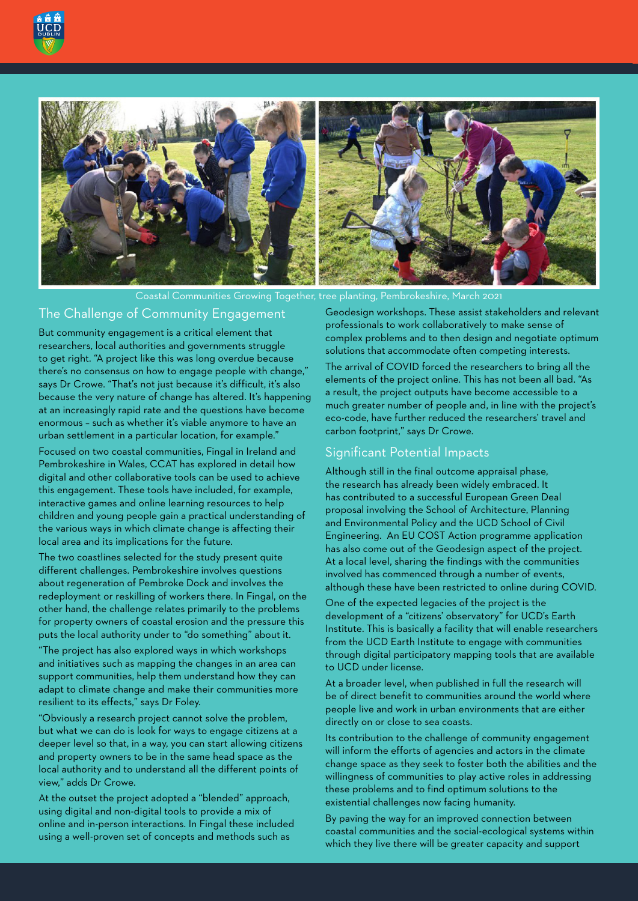



Coastal Communities Growing Together, tree planting, Pembrokeshire, March 2021

## The Challenge of Community Engagement

But community engagement is a critical element that researchers, local authorities and governments struggle to get right. "A project like this was long overdue because there's no consensus on how to engage people with change," says Dr Crowe. "That's not just because it's difficult, it's also because the very nature of change has altered. It's happening at an increasingly rapid rate and the questions have become enormous – such as whether it's viable anymore to have an urban settlement in a particular location, for example."

Focused on two coastal communities, Fingal in Ireland and Pembrokeshire in Wales, CCAT has explored in detail how digital and other collaborative tools can be used to achieve this engagement. These tools have included, for example, interactive games and online learning resources to help children and young people gain a practical understanding of the various ways in which climate change is affecting their local area and its implications for the future.

The two coastlines selected for the study present quite different challenges. Pembrokeshire involves questions about regeneration of Pembroke Dock and involves the redeployment or reskilling of workers there. In Fingal, on the other hand, the challenge relates primarily to the problems for property owners of coastal erosion and the pressure this puts the local authority under to "do something" about it.

"The project has also explored ways in which workshops and initiatives such as mapping the changes in an area can support communities, help them understand how they can adapt to climate change and make their communities more resilient to its effects," says Dr Foley.

"Obviously a research project cannot solve the problem, but what we can do is look for ways to engage citizens at a deeper level so that, in a way, you can start allowing citizens and property owners to be in the same head space as the local authority and to understand all the different points of view," adds Dr Crowe.

At the outset the project adopted a "blended" approach, using digital and non-digital tools to provide a mix of online and in-person interactions. In Fingal these included using a well-proven set of concepts and methods such as

Geodesign workshops. These assist stakeholders and relevant professionals to work collaboratively to make sense of complex problems and to then design and negotiate optimum solutions that accommodate often competing interests.

The arrival of COVID forced the researchers to bring all the elements of the project online. This has not been all bad. "As a result, the project outputs have become accessible to a much greater number of people and, in line with the project's eco-code, have further reduced the researchers' travel and carbon footprint," says Dr Crowe.

#### Significant Potential Impacts

Although still in the final outcome appraisal phase, the research has already been widely embraced. It has contributed to a successful European Green Deal proposal involving the School of Architecture, Planning and Environmental Policy and the UCD School of Civil Engineering. An EU COST Action programme application has also come out of the Geodesign aspect of the project. At a local level, sharing the findings with the communities involved has commenced through a number of events, although these have been restricted to online during COVID.

One of the expected legacies of the project is the development of a "citizens' observatory" for UCD's Earth Institute. This is basically a facility that will enable researchers from the UCD Earth Institute to engage with communities through digital participatory mapping tools that are available to UCD under license.

At a broader level, when published in full the research will be of direct benefit to communities around the world where people live and work in urban environments that are either directly on or close to sea coasts.

Its contribution to the challenge of community engagement will inform the efforts of agencies and actors in the climate change space as they seek to foster both the abilities and the willingness of communities to play active roles in addressing these problems and to find optimum solutions to the existential challenges now facing humanity.

By paving the way for an improved connection between coastal communities and the social-ecological systems within which they live there will be greater capacity and support